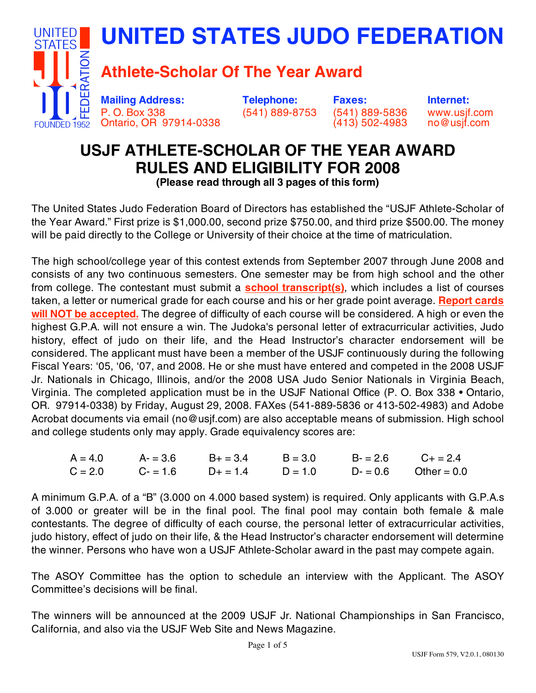

# **USJF ATHLETE-SCHOLAR OF THE YEAR AWARD RULES AND ELIGIBILITY FOR 2008**

**(Please read through all 3 pages of this form)**

The United States Judo Federation Board of Directors has established the "USJF Athlete-Scholar of the Year Award." First prize is \$1,000.00, second prize \$750.00, and third prize \$500.00. The money will be paid directly to the College or University of their choice at the time of matriculation.

The high school/college year of this contest extends from September 2007 through June 2008 and consists of any two continuous semesters. One semester may be from high school and the other from college. The contestant must submit a **school transcript(s)**, which includes a list of courses taken, a letter or numerical grade for each course and his or her grade point average. **Report cards will NOT be accepted.** The degree of difficulty of each course will be considered. A high or even the highest G.P.A. will not ensure a win. The Judoka's personal letter of extracurricular activities, Judo history, effect of judo on their life, and the Head Instructor's character endorsement will be considered. The applicant must have been a member of the USJF continuously during the following Fiscal Years: '05, '06, '07, and 2008. He or she must have entered and competed in the 2008 USJF Jr. Nationals in Chicago, Illinois, and/or the 2008 USA Judo Senior Nationals in Virginia Beach, Virginia. The completed application must be in the USJF National Office (P. O. Box 338 • Ontario, OR. 97914-0338) by Friday, August 29, 2008. FAXes (541-889-5836 or 413-502-4983) and Adobe Acrobat documents via email (no@usjf.com) are also acceptable means of submission. High school and college students only may apply. Grade equivalency scores are:

|  | $A = 4.0$ $A = 3.6$ $B = 3.4$ $B = 3.0$ $B = 2.6$ $C + 2.4$     |  |  |
|--|-----------------------------------------------------------------|--|--|
|  | $C = 2.0$ $C = 1.6$ $D+ = 1.4$ $D = 1.0$ $D- = 0.6$ Other = 0.0 |  |  |

A minimum G.P.A. of a "B" (3.000 on 4.000 based system) is required. Only applicants with G.P.A.s of 3.000 or greater will be in the final pool. The final pool may contain both female & male contestants. The degree of difficulty of each course, the personal letter of extracurricular activities, judo history, effect of judo on their life, & the Head Instructor's character endorsement will determine the winner. Persons who have won a USJF Athlete-Scholar award in the past may compete again.

The ASOY Committee has the option to schedule an interview with the Applicant. The ASOY Committee's decisions will be final.

The winners will be announced at the 2009 USJF Jr. National Championships in San Francisco, California, and also via the USJF Web Site and News Magazine.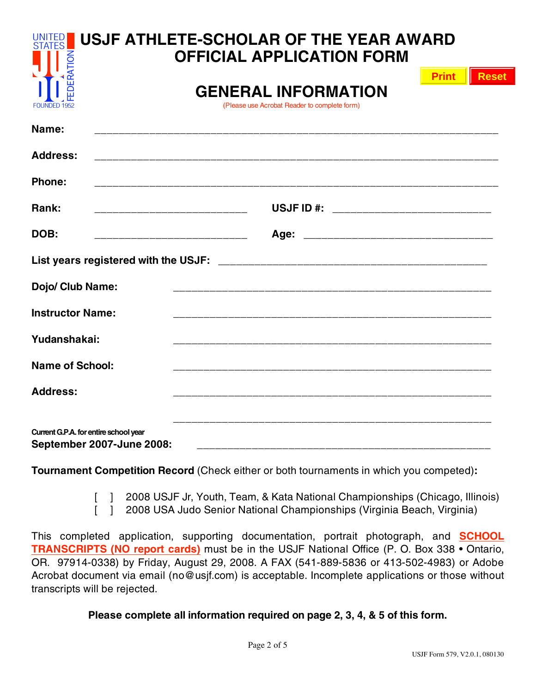| <b>UNITED</b><br><b>STATES</b>                                            | USJF ATHLETE-SCHOLAR OF THE YEAR AWARD<br><b>OFFICIAL APPLICATION FORM</b> |              |              |  |  |  |
|---------------------------------------------------------------------------|----------------------------------------------------------------------------|--------------|--------------|--|--|--|
| EDERATION<br>FOUNDED 1952                                                 | <b>GENERAL INFORMATION</b><br>(Please use Acrobat Reader to complete form) | <b>Print</b> | <b>Reset</b> |  |  |  |
| Name:                                                                     |                                                                            |              |              |  |  |  |
| <b>Address:</b>                                                           |                                                                            |              |              |  |  |  |
| Phone:                                                                    |                                                                            |              |              |  |  |  |
| Rank:                                                                     | USJF ID #: ______________________________                                  |              |              |  |  |  |
| DOB:                                                                      | ___________________________________                                        |              |              |  |  |  |
|                                                                           |                                                                            |              |              |  |  |  |
| Dojo/ Club Name:                                                          |                                                                            |              |              |  |  |  |
| <b>Instructor Name:</b>                                                   |                                                                            |              |              |  |  |  |
| Yudanshakai:                                                              |                                                                            |              |              |  |  |  |
| <b>Name of School:</b>                                                    |                                                                            |              |              |  |  |  |
| <b>Address:</b>                                                           |                                                                            |              |              |  |  |  |
| Current G.P.A. for entire school year<br><b>September 2007-June 2008:</b> | ____________________                                                       |              |              |  |  |  |

**Tournament Competition Record** (Check either or both tournaments in which you competed)**:**

[ ] 2008 USJF Jr, Youth, Team, & Kata National Championships (Chicago, Illinois)

[ ] 2008 USA Judo Senior National Championships (Virginia Beach, Virginia)

This completed application, supporting documentation, portrait photograph, and **SCHOOL TRANSCRIPTS (NO report cards)** must be in the USJF National Office (P. O. Box 338 • Ontario, OR. 97914-0338) by Friday, August 29, 2008. A FAX (541-889-5836 or 413-502-4983) or Adobe Acrobat document via email (no@usjf.com) is acceptable. Incomplete applications or those without transcripts will be rejected.

**Please complete all information required on page 2, 3, 4, & 5 of this form.**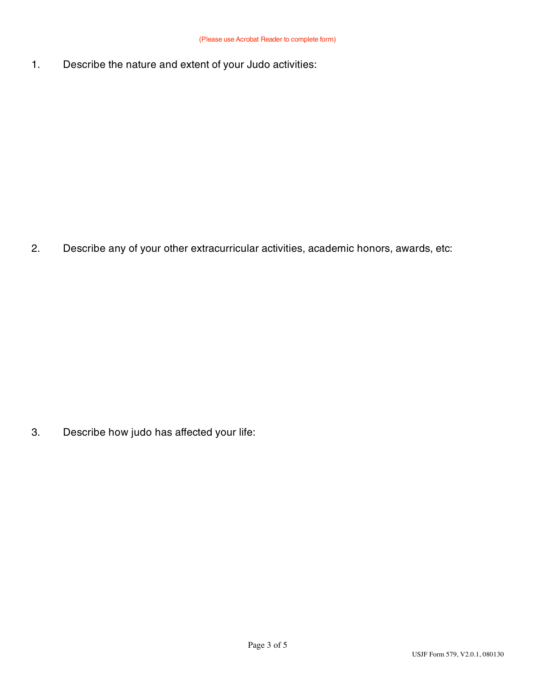1. Describe the nature and extent of your Judo activities:

2. Describe any of your other extracurricular activities, academic honors, awards, etc:

3. Describe how judo has affected your life: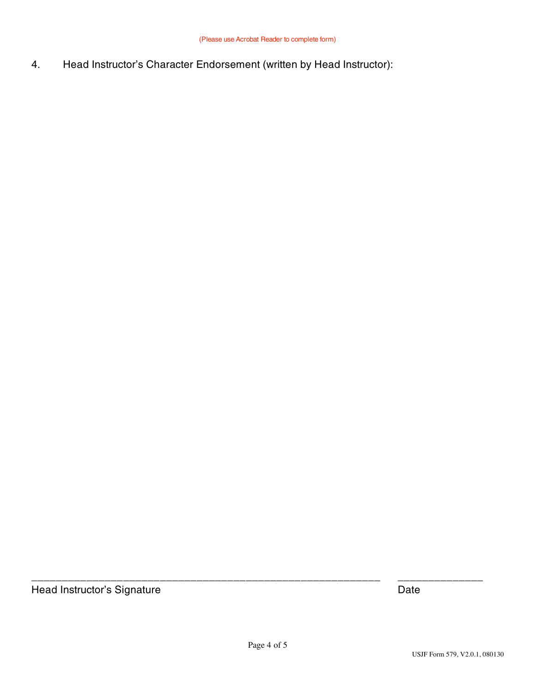4. Head Instructor's Character Endorsement (written by Head Instructor):

Head Instructor's Signature **Date** Date **Date** 

\_\_\_\_\_\_\_\_\_\_\_\_\_\_\_\_\_\_\_\_\_\_\_\_\_\_\_\_\_\_\_\_\_\_\_\_\_\_\_\_\_\_\_\_\_\_\_\_\_\_\_\_\_\_\_\_\_ \_\_\_\_\_\_\_\_\_\_\_\_\_\_